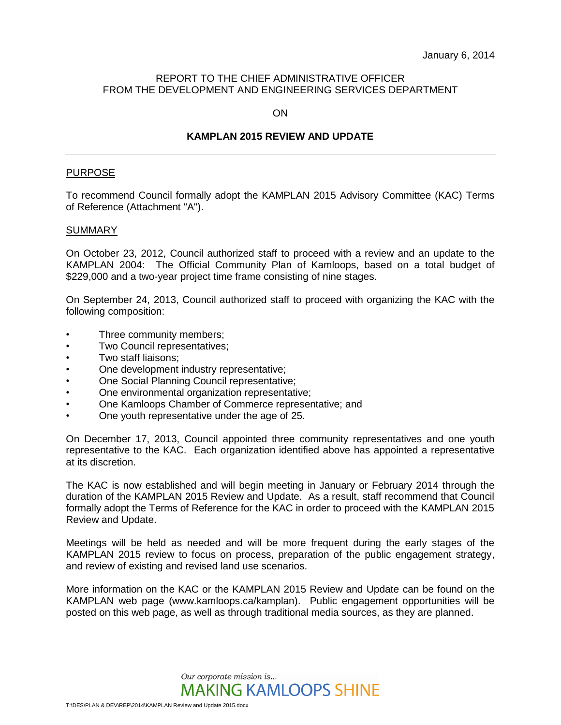## REPORT TO THE CHIEF ADMINISTRATIVE OFFICER FROM THE DEVELOPMENT AND ENGINEERING SERVICES DEPARTMENT

ON

## **KAMPLAN 2015 REVIEW AND UPDATE**

#### PURPOSE

To recommend Council formally adopt the KAMPLAN 2015 Advisory Committee (KAC) Terms of Reference (Attachment "A").

#### **SUMMARY**

On October 23, 2012, Council authorized staff to proceed with a review and an update to the KAMPLAN 2004: The Official Community Plan of Kamloops, based on a total budget of \$229,000 and a two-year project time frame consisting of nine stages.

On September 24, 2013, Council authorized staff to proceed with organizing the KAC with the following composition:

- Three community members;
- Two Council representatives;
- Two staff liaisons;
- One development industry representative;
- One Social Planning Council representative;
- One environmental organization representative;
- One Kamloops Chamber of Commerce representative; and
- One youth representative under the age of 25.

On December 17, 2013, Council appointed three community representatives and one youth representative to the KAC. Each organization identified above has appointed a representative at its discretion.

The KAC is now established and will begin meeting in January or February 2014 through the duration of the KAMPLAN 2015 Review and Update. As a result, staff recommend that Council formally adopt the Terms of Reference for the KAC in order to proceed with the KAMPLAN 2015 Review and Update.

Meetings will be held as needed and will be more frequent during the early stages of the KAMPLAN 2015 review to focus on process, preparation of the public engagement strategy, and review of existing and revised land use scenarios.

More information on the KAC or the KAMPLAN 2015 Review and Update can be found on the KAMPLAN web page (www.kamloops.ca/kamplan). Public engagement opportunities will be posted on this web page, as well as through traditional media sources, as they are planned.